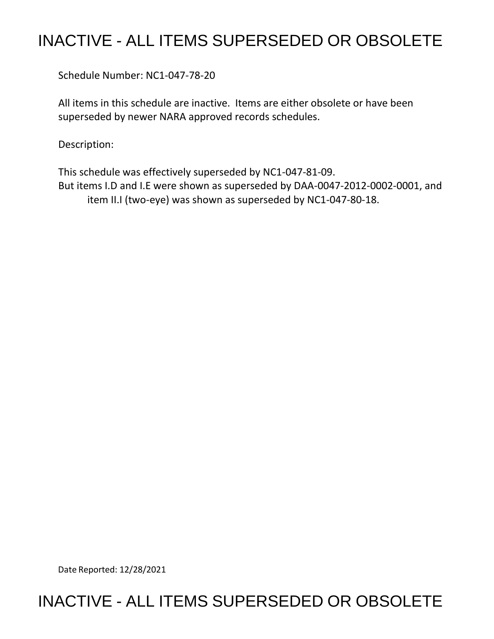## INACTIVE - ALL ITEMS SUPERSEDED OR OBSOLETE

Schedule Number: NC1-047-78-20

 All items in this schedule are inactive. Items are either obsolete or have been superseded by newer NARA approved records schedules.

Description:

This schedule was effectively superseded by NC1-047-81-09. This schedule was effectively superseded by NC1-047-81-09.<br>But items I.D and I.E were shown as superseded by DAA-0047-2012-0002-0001, and item II.I (two-eye) was shown as superseded by NC1-047-80-18.

Date Reported: 12/28/2021

## INACTIVE - ALL ITEMS SUPERSEDED OR OBSOLETE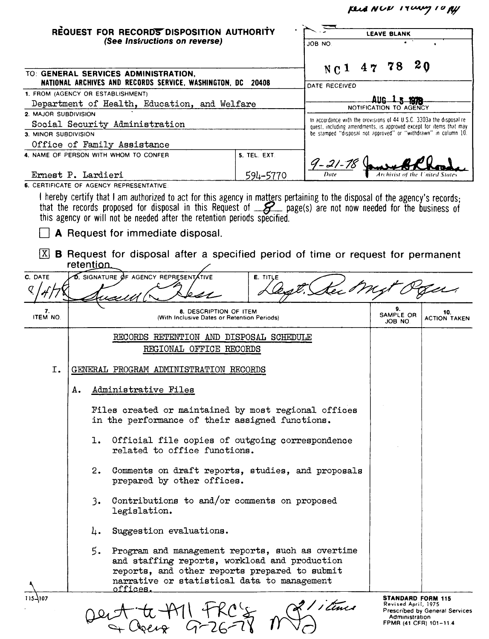*µAAINVP IY~IU/f,f'* 

|                      | REQUEST FOR RECORDS DISPOSITION AUTHORITY<br>(See Instructions on reverse)                                                                                                                                                                                                                                                                                     |              |                                   | <b>LEAVE BLANK</b><br>ON BOL |                            |                                                                                                                                       |  |
|----------------------|----------------------------------------------------------------------------------------------------------------------------------------------------------------------------------------------------------------------------------------------------------------------------------------------------------------------------------------------------------------|--------------|-----------------------------------|------------------------------|----------------------------|---------------------------------------------------------------------------------------------------------------------------------------|--|
|                      |                                                                                                                                                                                                                                                                                                                                                                |              |                                   |                              |                            |                                                                                                                                       |  |
|                      | TO: GENERAL SERVICES ADMINISTRATION,<br>NATIONAL ARCHIVES AND RECORDS SERVICE, WASHINGTON, DC                                                                                                                                                                                                                                                                  | 20408        | N <sub>C</sub> 1<br>DATE RECEIVED | 47                           | 78                         | 20                                                                                                                                    |  |
|                      | 1. FROM (AGENCY OR ESTABLISHMENT)                                                                                                                                                                                                                                                                                                                              |              |                                   |                              |                            |                                                                                                                                       |  |
|                      | Department of Health, Education, and Welfare                                                                                                                                                                                                                                                                                                                   |              |                                   | 81 I C                       | NOTIFICATION TO AGENCY     |                                                                                                                                       |  |
| 2. MAJOR SUBDIVISION | Social Security Administration                                                                                                                                                                                                                                                                                                                                 |              |                                   |                              |                            | In accordance with the provisions of 44 U.S.C. 3303a the disposal re-                                                                 |  |
| 3. MINOR SUBDIVISION |                                                                                                                                                                                                                                                                                                                                                                |              |                                   |                              |                            | quest, including amendments, is approved except for items that may<br>be stamped "disposal not approved" or "withdrawn" in column 10. |  |
|                      | Office of Family Assistance                                                                                                                                                                                                                                                                                                                                    |              |                                   |                              |                            |                                                                                                                                       |  |
|                      | 4. NAME OF PERSON WITH WHOM TO CONFER                                                                                                                                                                                                                                                                                                                          | 5. TEL. EXT. |                                   |                              |                            |                                                                                                                                       |  |
|                      | Ernest P. Lardieri                                                                                                                                                                                                                                                                                                                                             |              | $9 - 21 - 78$                     |                              |                            | nited State                                                                                                                           |  |
|                      | 6. CERTIFICATE OF AGENCY REPRESENTATIVE:                                                                                                                                                                                                                                                                                                                       | 594-5770     |                                   |                              |                            |                                                                                                                                       |  |
|                      | I hereby certify that I am authorized to act for this agency in matters pertaining to the disposal of the agency's records;<br>that the records proposed for disposal in this Request of <u>S</u> page(s) are not now needed for the business of this agency or will not be needed after the retention periods specified.<br>A Request for immediate disposal. |              |                                   |                              |                            |                                                                                                                                       |  |
|                      | $[X]$ <b>B</b> Request for disposal after a specified period of time or request for permanent<br>retention                                                                                                                                                                                                                                                     |              |                                   |                              |                            |                                                                                                                                       |  |
| C. DATE              | ${\bf \overline{D}}$ , signature $\phi$ f agency represent                                                                                                                                                                                                                                                                                                     | E. TITLE     |                                   |                              |                            |                                                                                                                                       |  |
|                      |                                                                                                                                                                                                                                                                                                                                                                |              |                                   |                              |                            |                                                                                                                                       |  |
| 7.<br>ITEM NO.       | 8. DESCRIPTION OF ITEM<br>(With Inclusive Dates or Retention Periods)                                                                                                                                                                                                                                                                                          |              |                                   |                              | 9.<br>SAMPLE OR<br>JOB NO. | 10.<br><b>ACTION TAKEN</b>                                                                                                            |  |
|                      | RECORDS RETENTION AND DISPOSAL SCHEDULE<br>REGIONAL OFFICE RECORDS                                                                                                                                                                                                                                                                                             |              |                                   |                              |                            |                                                                                                                                       |  |
| I.                   | GENERAL PROGRAM ADMINISTRATION RECORDS                                                                                                                                                                                                                                                                                                                         |              |                                   |                              |                            |                                                                                                                                       |  |
|                      | Administrative Files<br>А.                                                                                                                                                                                                                                                                                                                                     |              |                                   |                              |                            |                                                                                                                                       |  |
|                      | Files created or maintained by most regional offices<br>in the performance of their assigned functions.                                                                                                                                                                                                                                                        |              |                                   |                              |                            |                                                                                                                                       |  |
|                      | Official file copies of outgoing correspondence<br>1.<br>related to office functions.                                                                                                                                                                                                                                                                          |              |                                   |                              |                            |                                                                                                                                       |  |
|                      | 2.<br>Comments on draft reports, studies, and proposals<br>prepared by other offices.                                                                                                                                                                                                                                                                          |              |                                   |                              |                            |                                                                                                                                       |  |
|                      | Contributions to and/or comments on proposed<br>3.<br>legislation.                                                                                                                                                                                                                                                                                             |              |                                   |                              |                            |                                                                                                                                       |  |
|                      | Suggestion evaluations.<br>4.                                                                                                                                                                                                                                                                                                                                  |              |                                   |                              |                            |                                                                                                                                       |  |
|                      | 5.<br>Program and management reports, such as overtime<br>and staffing reports, workload and production<br>reports, and other reports prepared to submit<br>narrative or statistical data to management<br>offices.                                                                                                                                            |              |                                   |                              |                            |                                                                                                                                       |  |
|                      |                                                                                                                                                                                                                                                                                                                                                                |              | ! / ctmes                         |                              | Administration             | <b>STANDARD FORM 115</b><br>Revised April, 1975<br><b>Prescribed by General Services</b><br>FPMR (41 CFR) 101-11.4                    |  |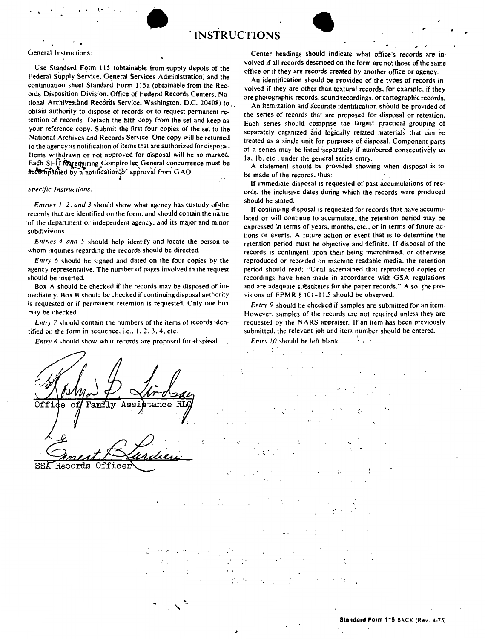

## General Instructions:

Use Standard Form 115 (obtainable from supply depots of the Federal Supply Service. General Services Administration) and the continuation sheet Standard Form 115a (obtainable from the Records Disposition Division. Office of Federal Records Centers, National Archives.and Records Service. Washington, D.C. 20408) to obtain authority to dispose of records or to request permanent retention of records. Detach the fifth copy from the set and keep as your reference copy. Submit the first four copies of the set to the National Archives and Records Service. One copy will be returned to the agency as notification of items that are authorized for disposal. Items withdrawn or not approved for disposal will be so marked. Each SFI Marequiring Compitoller General concurrence must be  $\alpha$ <sup>-c</sup>ompanied by a notification.  $\delta$ f approval from GAO.

## *Specific Instructions:*

*Entries 1, 2, and 3 should show what agency has custody of the* records that are identified on the form. and should contain the name of the depanment or independent agency. and its major and minor subdivisions.

*Entries 4 and 5* should help identify and locate the person to whom inquiries regarding the records should be directed.

*Entry 6* should be signed and dated on the four copies by the agency representative. The number of pages involved in the request should be insened.

Box A should be checked if the records may be disposed of immediately. Box B should be checked if continuing disposal authority is requested or if permanent retention is requested. Only one box may be checked.

*Entry* 7 should contain the numbers of the items of records iden· tified on the form in sequence. **i.e ..** I. 2. 3. 4. etc.

*Entry 8* should show what records are proposed for disposal.

volved if all **records described** on the form are not **those of the same**  office or if **they** are records **created** by **another office or agency.**  An identification should **be provided of the types of** records **in**volved if they are other than textural records, for example, if they

are photographic records, sound recordings, or cartographic records. An itemization and accurate identification should be provided of the series of records that are proposed for disposal or retention. Each series should comprise the largest practical grouping of separately organized and logically retated materials that can be treated as a single unit for purposes of disposal. Component parts of a series may be listed separately if numbered consecutively as la. 1b. etc., under the general series entry.

**Center headings** should **indicate what office's records are in-**

A statement should be provided showing when disposal is to be made of the records. thus:

If immediate disposal is requested of past accumulations of records. the inclusive dates during which the records were produced should be stated.

If continuing disposal is requested for records that have accumulated or will continue to accumulate. the retention period may be expressed in terms of years, months, etc., or in terms of future actions or events. A future action or event that is to determine the retention period must be objective and definite. If disposal of the records is contingent upon their being microfilmed. or otherwise reproduced or recorded on machine readable media. the retention period should read: "Until ascenained that reproduced copies or recordings have been made in accordance with GSA regulations and are adequate substitutes for the paper records." Also, the provisions of FPMR  $§$  101-11.5 should be observed.

*Entry 9* should be checked if samples are submitted for an item. However. samples of the records are not required unless they are requested by the NARS appraiser. If an item has been previously submitted, the relevant job and item number should be entered.

 $\S_{\alpha}$  .

*Entry 10* should be left blank.

RI Offi  $tance$  $\mathbf{a}$ ∩f Family 0ffi Records

,. '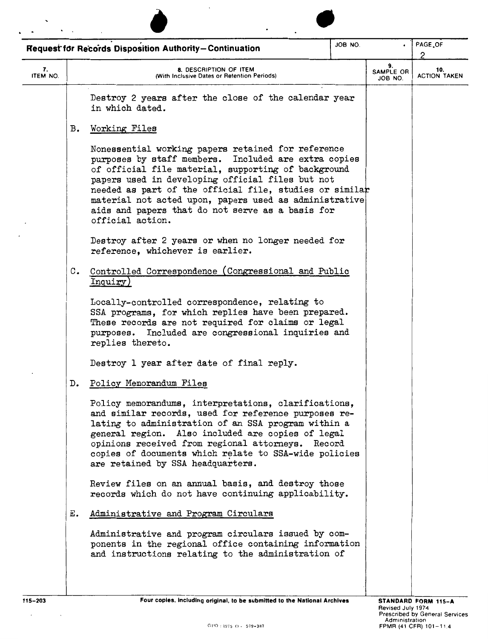|                |    | <b>Request for Records Disposition Authority-Continuation</b>                                                                                                                                                                                                                                                                                                                                                      | JOB NO. |                            | PAGE OF<br>2               |
|----------------|----|--------------------------------------------------------------------------------------------------------------------------------------------------------------------------------------------------------------------------------------------------------------------------------------------------------------------------------------------------------------------------------------------------------------------|---------|----------------------------|----------------------------|
| 7.<br>ITEM NO. |    | 8. DESCRIPTION OF ITEM<br>(With Inclusive Dates or Retention Periods)                                                                                                                                                                                                                                                                                                                                              |         | 9.<br>SAMPLE OR<br>JOB NO. | 10.<br><b>ACTION TAKEN</b> |
|                |    | Destroy 2 years after the close of the calendar year<br>in which dated.                                                                                                                                                                                                                                                                                                                                            |         |                            |                            |
|                | в. | Working Files                                                                                                                                                                                                                                                                                                                                                                                                      |         |                            |                            |
|                |    | Nonessential working papers retained for reference<br>purposes by staff members. Included are extra copies<br>of official file material, supporting of background<br>papers used in developing official files but not<br>needed as part of the official file, studies or similar<br>material not acted upon, papers used as administrative<br>aids and papers that do not serve as a basis for<br>official action. |         |                            |                            |
|                |    | Destroy after 2 years or when no longer needed for<br>reference, whichever is earlier.                                                                                                                                                                                                                                                                                                                             |         |                            |                            |
|                | c. | Controlled Correspondence (Congressional and Public<br>Inquiry)                                                                                                                                                                                                                                                                                                                                                    |         |                            |                            |
|                |    | Locally-controlled correspondence, relating to<br>SSA programs, for which replies have been prepared.<br>These records are not required for claims or legal<br>purposes. Included are congressional inquiries and<br>replies thereto.                                                                                                                                                                              |         |                            |                            |
|                |    | Destroy 1 year after date of final reply.                                                                                                                                                                                                                                                                                                                                                                          |         |                            |                            |
|                | D. | Policy Memorandum Files                                                                                                                                                                                                                                                                                                                                                                                            |         |                            |                            |
|                |    | Policy memorandums, interpretations, clarifications,<br>and similar records, used for reference purposes re-<br>lating to administration of an SSA program within a<br>general region. Also included are copies of legal<br>opinions received from regional attorneys. Record<br>copies of documents which relate to SSA-wide policies<br>are retained by SSA headquarters.                                        |         |                            |                            |
|                |    | Review files on an annual basis, and destroy those<br>records which do not have continuing applicability.                                                                                                                                                                                                                                                                                                          |         |                            |                            |
|                | Е. | Administrative and Program Circulars                                                                                                                                                                                                                                                                                                                                                                               |         |                            |                            |
|                |    | Administrative and program circulars issued by com-<br>ponents in the regional office containing information<br>and instructions relating to the administration of                                                                                                                                                                                                                                                 |         |                            |                            |

 $\mathcal{A}^{\mathcal{A}}$  and  $\mathcal{A}^{\mathcal{A}}$  and  $\mathcal{A}^{\mathcal{A}}$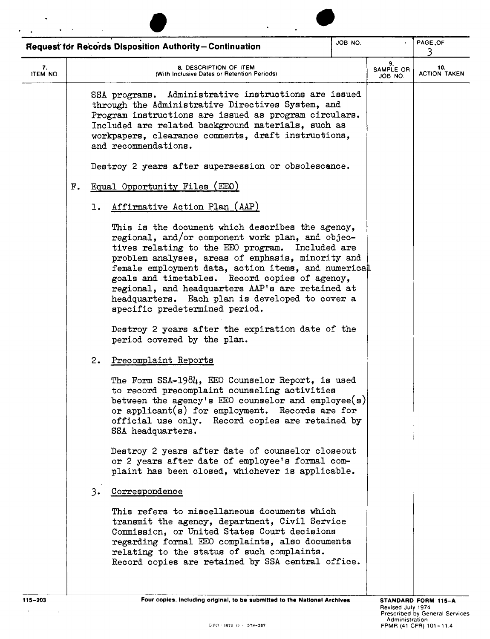|                | Request for Records Disposition Authority-Continuation                                                                                                                                                                                                                                                                                                                                                                                            | JOB NO.      |                            | PAGE .OF<br>3              |
|----------------|---------------------------------------------------------------------------------------------------------------------------------------------------------------------------------------------------------------------------------------------------------------------------------------------------------------------------------------------------------------------------------------------------------------------------------------------------|--------------|----------------------------|----------------------------|
| 7.<br>ITEM NO. | 8. DESCRIPTION OF ITEM<br>(With Inclusive Dates or Retention Periods)                                                                                                                                                                                                                                                                                                                                                                             |              | 9.<br>SAMPLE OR<br>JOB NO. | 10.<br><b>ACTION TAKEN</b> |
|                | SSA programs. Administrative instructions are issued<br>through the Administrative Directives System, and<br>Program instructions are issued as program circulars.<br>Included are related background materials, such as<br>workpapers, clearance comments, draft instructions,<br>and recommendations.                                                                                                                                           |              |                            |                            |
|                | Destroy 2 years after supersession or obsolescence.                                                                                                                                                                                                                                                                                                                                                                                               |              |                            |                            |
| F.             | Equal Opportunity Files (EEO)                                                                                                                                                                                                                                                                                                                                                                                                                     |              |                            |                            |
|                | Affirmative Action Plan (AAP)<br>1.                                                                                                                                                                                                                                                                                                                                                                                                               |              |                            |                            |
|                | This is the document which describes the agency,<br>regional, and/or component work plan, and objec-<br>tives relating to the EEO program.<br>problem analyses, areas of emphasis, minority and<br>female employment data, action items, and numerical<br>goals and timetables. Record copies of agency,<br>regional, and headquarters AAP's are retained at<br>headquarters. Each plan is developed to cover a<br>specific predetermined period. | Included are |                            |                            |
|                | Destroy 2 years after the expiration date of the<br>period covered by the plan.                                                                                                                                                                                                                                                                                                                                                                   |              |                            |                            |
|                | Precomplaint Reports<br>2.                                                                                                                                                                                                                                                                                                                                                                                                                        |              |                            |                            |
|                | The Form SSA-1984, EEO Counselor Report, is used<br>to record precomplaint counseling activities<br>between the agency's $E E 0$ counselor and employee(s)<br>or applicant( $s$ ) for employment. Records are for<br>official use only. Record copies are retained by<br>SSA headquarters.                                                                                                                                                        |              |                            |                            |
|                | Destroy 2 years after date of counselor closeout<br>or 2 years after date of employee's formal com-<br>plaint has been closed, whichever is applicable.                                                                                                                                                                                                                                                                                           |              |                            |                            |
|                | 3. Correspondence                                                                                                                                                                                                                                                                                                                                                                                                                                 |              |                            |                            |
|                | This refers to miscellaneous documents which<br>transmit the agency, department, Civil Service<br>Commission, or United States Court decisions<br>regarding formal EEO complaints, also documents<br>relating to the status of such complaints.<br>Record copies are retained by SSA central office.                                                                                                                                              |              |                            |                            |

 $\mathcal{L}^{\text{max}}_{\text{max}}$  , where  $\mathcal{L}^{\text{max}}_{\text{max}}$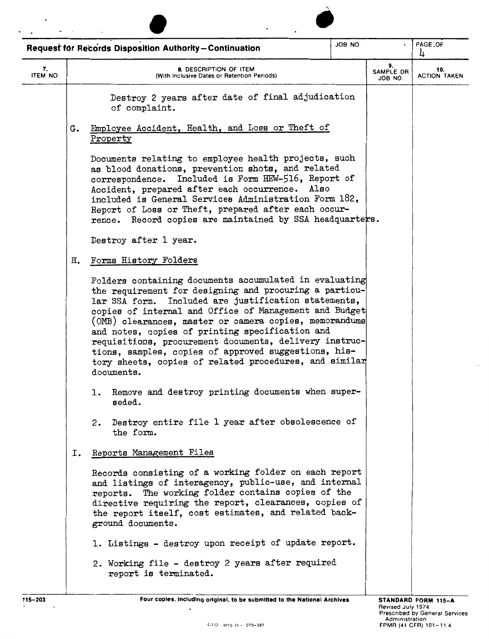|                |    | <b>Request for Records Disposition Authority-Continuation</b>                                                                                                                                                                                                                                                                                                                                                                                                                                                                             | JOB NO. |                                   | PAGE.OF<br>4               |
|----------------|----|-------------------------------------------------------------------------------------------------------------------------------------------------------------------------------------------------------------------------------------------------------------------------------------------------------------------------------------------------------------------------------------------------------------------------------------------------------------------------------------------------------------------------------------------|---------|-----------------------------------|----------------------------|
| 7.<br>ITEM NO. |    | 8. DESCRIPTION OF ITEM<br>(With Inclusive Dates or Retention Periods)                                                                                                                                                                                                                                                                                                                                                                                                                                                                     |         | 9.<br><b>SAMPLE OR</b><br>JOB NO. | 10.<br><b>ACTION TAKEN</b> |
|                |    | Destroy 2 years after date of final adjudication<br>of complaint.                                                                                                                                                                                                                                                                                                                                                                                                                                                                         |         |                                   |                            |
|                | G. | Employee Accident, Health, and Loss or Theft of<br>Property                                                                                                                                                                                                                                                                                                                                                                                                                                                                               |         |                                   |                            |
|                |    | Documents relating to employee health projects, such<br>as blood donations, prevention shots, and related<br>correspondence. Included is Form HEW-516, Report of<br>Accident, prepared after each occurrence.<br>Also<br>included is General Services Administration Form 182,<br>Report of Loss or Theft, prepared after each occur-<br>rence. Record copies are maintained by SSA headquarters.                                                                                                                                         |         |                                   |                            |
|                |    | Destroy after 1 year.                                                                                                                                                                                                                                                                                                                                                                                                                                                                                                                     |         |                                   |                            |
|                | Η. | Forms History Folders                                                                                                                                                                                                                                                                                                                                                                                                                                                                                                                     |         |                                   |                            |
|                |    | Folders containing documents accumulated in evaluating<br>the requirement for designing and procuring a particu-<br>lar SSA form. Included are justification statements,<br>copies of internal and Office of Management and Budget<br>(OMB) clearances, master or camera copies, memorandums<br>and notes, copies of printing specification and<br>requisitions, procurement documents, delivery instruc-<br>tions, samples, copies of approved suggestions, his-<br>tory sheets, copies of related procedures, and similar<br>documents. |         |                                   |                            |
|                |    | 1. Remove and destroy printing documents when super-<br>seded.                                                                                                                                                                                                                                                                                                                                                                                                                                                                            |         |                                   |                            |
|                |    | 2. Destroy entire file 1 year after obsolescence of<br>the form.                                                                                                                                                                                                                                                                                                                                                                                                                                                                          |         |                                   |                            |
|                | Ι. | Reports Management Files                                                                                                                                                                                                                                                                                                                                                                                                                                                                                                                  |         |                                   |                            |
|                |    | Records consisting of a working folder on each report<br>and listings of interagency, public-use, and internal<br>reports. The working folder contains copies of the<br>directive requiring the report, clearances, copies of<br>the report itself, cost estimates, and related back-<br>ground documents.                                                                                                                                                                                                                                |         |                                   |                            |
|                |    | 1. Listings - destroy upon receipt of update report.                                                                                                                                                                                                                                                                                                                                                                                                                                                                                      |         |                                   |                            |
|                |    | 2. Working file - destroy 2 years after required<br>report is terminated.                                                                                                                                                                                                                                                                                                                                                                                                                                                                 |         |                                   |                            |
| 115-203        |    | Four copies, including original, to be submitted to the National Archives                                                                                                                                                                                                                                                                                                                                                                                                                                                                 |         |                                   | STANDARD FORM 115-A        |

 $\overline{\phantom{a}}$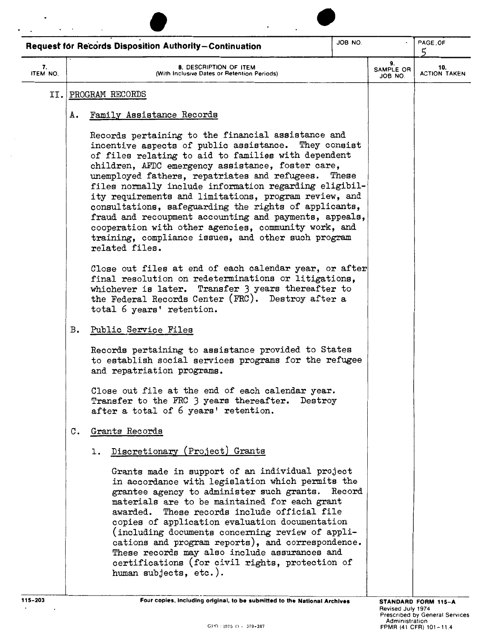|                |    | <b>Request for Records Disposition Authority-Continuation</b>                                                                                                                                                                                                                                                                                                                                                                                                                                                                                                                                                                                  | JOB NO. |                            | PAGE OF<br>5               |
|----------------|----|------------------------------------------------------------------------------------------------------------------------------------------------------------------------------------------------------------------------------------------------------------------------------------------------------------------------------------------------------------------------------------------------------------------------------------------------------------------------------------------------------------------------------------------------------------------------------------------------------------------------------------------------|---------|----------------------------|----------------------------|
| 7.<br>ITEM NO. |    | 8. DESCRIPTION OF ITEM<br>(With Inclusive Dates or Retention Periods)                                                                                                                                                                                                                                                                                                                                                                                                                                                                                                                                                                          |         | 9.<br>SAMPLE OR<br>JOB NO. | 10.<br><b>ACTION TAKEN</b> |
|                |    | II. PROGRAM RECORDS                                                                                                                                                                                                                                                                                                                                                                                                                                                                                                                                                                                                                            |         |                            |                            |
|                | А. | Family Assistance Records                                                                                                                                                                                                                                                                                                                                                                                                                                                                                                                                                                                                                      |         |                            |                            |
|                |    | Records pertaining to the financial assistance and<br>incentive aspects of public assistance. They consist<br>of files relating to aid to families with dependent<br>children, AFDC emergency assistance, foster care,<br>unemployed fathers, repatriates and refugees.<br>files normally include information regarding eligibil-<br>ity requirements and limitations, program review, and<br>consultations, safeguarding the rights of applicants,<br>fraud and recoupment accounting and payments, appeals,<br>cooperation with other agencies, community work, and<br>training, compliance issues, and other such program<br>related files. | These   |                            |                            |
|                |    | Close out files at end of each calendar year, or after<br>final resolution on redeterminations or litigations,<br>whichever is later. Transfer 3 years thereafter to<br>the Federal Records Center (FRC). Destroy after a<br>total 6 years' retention.                                                                                                                                                                                                                                                                                                                                                                                         |         |                            |                            |
|                | в. | Public Service Files                                                                                                                                                                                                                                                                                                                                                                                                                                                                                                                                                                                                                           |         |                            |                            |
|                |    | Records pertaining to assistance provided to States<br>to establish social services programs for the refugee<br>and repatriation programs.                                                                                                                                                                                                                                                                                                                                                                                                                                                                                                     |         |                            |                            |
|                |    | Close out file at the end of each calendar year.<br>Transfer to the FRC 3 years thereafter. Destroy<br>after a total of 6 years' retention.                                                                                                                                                                                                                                                                                                                                                                                                                                                                                                    |         |                            |                            |
|                | с. | Grants Records                                                                                                                                                                                                                                                                                                                                                                                                                                                                                                                                                                                                                                 |         |                            |                            |
|                |    | Discretionary (Project) Grants<br>ı.                                                                                                                                                                                                                                                                                                                                                                                                                                                                                                                                                                                                           |         |                            |                            |
|                |    | Grants made in support of an individual project<br>in accordance with legislation which permits the<br>grantee agency to administer such grants. Record<br>materials are to be maintained for each grant<br>These records include official file<br>awarded.<br>copies of application evaluation documentation<br>(including documents concerning review of appli-<br>cations and program reports), and correspondence.<br>These records may also include assurances and<br>certifications (for civil rights, protection of<br>human subjects, etc.).                                                                                           |         |                            |                            |
| $115 - 203$    |    | Four copies, including original, to be submitted to the National Archives                                                                                                                                                                                                                                                                                                                                                                                                                                                                                                                                                                      |         | Revised July 1974          | STANDARD FORM 115-A        |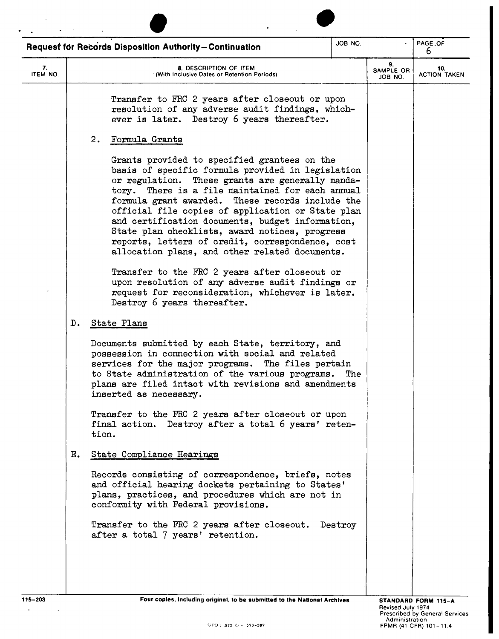|                |    | <b>Request for Records Disposition Authority-Continuation</b>                                                                                                                                                                                                                                                                                                                                                                                                                                                                  | JOB NO. |                            | PAGE, OF<br>6              |
|----------------|----|--------------------------------------------------------------------------------------------------------------------------------------------------------------------------------------------------------------------------------------------------------------------------------------------------------------------------------------------------------------------------------------------------------------------------------------------------------------------------------------------------------------------------------|---------|----------------------------|----------------------------|
| 7.<br>ITEM NO. |    | 8. DESCRIPTION OF ITEM<br>(With Inclusive Dates or Retention Periods)                                                                                                                                                                                                                                                                                                                                                                                                                                                          |         | 9.<br>SAMPLE OR<br>JOB NO. | 10.<br><b>ACTION TAKEN</b> |
|                |    | Transfer to FRC 2 years after closeout or upon<br>resolution of any adverse audit findings, which-<br>ever is later. Destroy 6 years thereafter.                                                                                                                                                                                                                                                                                                                                                                               |         |                            |                            |
|                |    | 2.<br>Formula Grants                                                                                                                                                                                                                                                                                                                                                                                                                                                                                                           |         |                            |                            |
|                |    | Grants provided to specified grantees on the<br>basis of specific formula provided in legislation<br>or regulation. These grants are generally manda-<br>tory. There is a file maintained for each annual<br>formula grant awarded. These records include the<br>official file copies of application or State plan<br>and certification documents, budget information,<br>State plan checklists, award notices, progress<br>reports, letters of credit, correspondence, cost<br>allocation plans, and other related documents. |         |                            |                            |
|                |    | Transfer to the FRC 2 years after closeout or<br>upon resolution of any adverse audit findings or<br>request for reconsideration, whichever is later.<br>Destroy 6 years thereafter.                                                                                                                                                                                                                                                                                                                                           |         |                            |                            |
|                | D. | State Plans                                                                                                                                                                                                                                                                                                                                                                                                                                                                                                                    |         |                            |                            |
|                |    | Documents submitted by each State, territory, and<br>possession in connection with social and related<br>services for the major programs. The files pertain<br>to State administration of the various programs. The<br>plans are filed intact with revisions and amendments<br>inserted as necessary.                                                                                                                                                                                                                          |         |                            |                            |
|                |    | Transfer to the FRC 2 years after closeout or upon<br>final action. Destroy after a total 6 years' reten-<br>tion.                                                                                                                                                                                                                                                                                                                                                                                                             |         |                            |                            |
|                | Е. | State Compliance Hearings                                                                                                                                                                                                                                                                                                                                                                                                                                                                                                      |         |                            |                            |
|                |    | Records consisting of correspondence, briefs, notes<br>and official hearing dockets pertaining to States'<br>plans, practices, and procedures which are not in<br>conformity with Federal provisions.                                                                                                                                                                                                                                                                                                                          |         |                            |                            |
|                |    | Transfer to the FRC 2 years after closeout. Destroy<br>after a total 7 years' retention.                                                                                                                                                                                                                                                                                                                                                                                                                                       |         |                            |                            |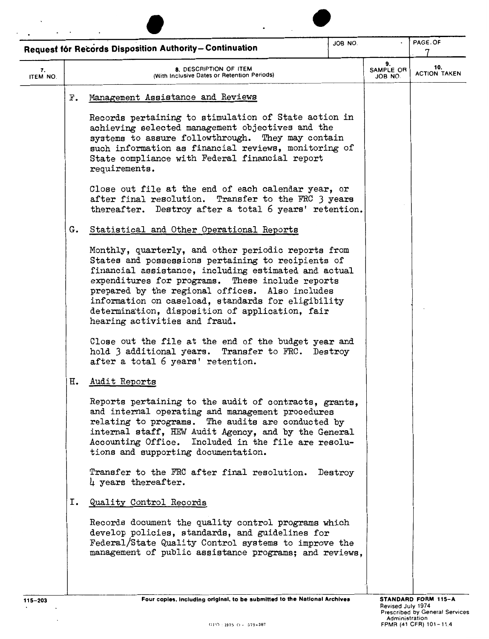| JOB NO.<br>Request for Records Disposition Authority-Continuation |                                                                                                                                                                                                                                                                                                                                                                                                                    |  |                            | PAGE.OF                    |
|-------------------------------------------------------------------|--------------------------------------------------------------------------------------------------------------------------------------------------------------------------------------------------------------------------------------------------------------------------------------------------------------------------------------------------------------------------------------------------------------------|--|----------------------------|----------------------------|
| 7.<br>ITEM NO.                                                    | 8. DESCRIPTION OF ITEM<br>(With Inclusive Dates or Retention Periods)                                                                                                                                                                                                                                                                                                                                              |  | 9.<br>SAMPLE OR<br>JOB NO. | 10.<br><b>ACTION TAKEN</b> |
|                                                                   | Management Assistance and Reviews<br>F.                                                                                                                                                                                                                                                                                                                                                                            |  |                            |                            |
|                                                                   | Records pertaining to stimulation of State action in<br>achieving selected management objectives and the<br>systems to assure followthrough. They may contain<br>such information as financial reviews, monitoring of<br>State compliance with Federal financial report<br>requirements.                                                                                                                           |  |                            |                            |
|                                                                   | Close out file at the end of each calendar year, or<br>after final resolution. Transfer to the FRC 3 years<br>thereafter. Destroy after a total 6 years' retention.                                                                                                                                                                                                                                                |  |                            |                            |
|                                                                   | Statistical and Other Operational Reports<br>G.                                                                                                                                                                                                                                                                                                                                                                    |  |                            |                            |
|                                                                   | Monthly, quarterly, and other periodic reports from<br>States and possessions pertaining to recipients of<br>financial assistance, including estimated and actual<br>expenditures for programs. These include reports<br>prepared by the regional offices. Also includes<br>information on caseload, standards for eligibility<br>determination, disposition of application, fair<br>hearing activities and fraud. |  |                            |                            |
|                                                                   | Close out the file at the end of the budget year and<br>hold 3 additional years. Transfer to FRC. Destroy<br>after a total 6 years' retention.                                                                                                                                                                                                                                                                     |  |                            |                            |
|                                                                   | н.<br>Audit Reports                                                                                                                                                                                                                                                                                                                                                                                                |  |                            |                            |
|                                                                   | Reports pertaining to the audit of contracts, grants,<br>and internal operating and management procedures<br>relating to programs. The audits are conducted by<br>internal staff, HEW Audit Agency, and by the General<br>Accounting Office. Included in the file are resolu-<br>tions and supporting documentation.                                                                                               |  |                            |                            |
|                                                                   | Transfer to the FRC after final resolution. Destroy<br>$\mu$ years thereafter.                                                                                                                                                                                                                                                                                                                                     |  |                            |                            |
|                                                                   | Quality Control Records<br>Ι.                                                                                                                                                                                                                                                                                                                                                                                      |  |                            |                            |
|                                                                   | Records document the quality control programs which<br>develop policies, standards, and guidelines for<br>Federal/State Quality Control systems to improve the<br>management of public assistance programs; and reviews,                                                                                                                                                                                           |  |                            |                            |

 $\cdot$  $\ddot{\phantom{0}}$